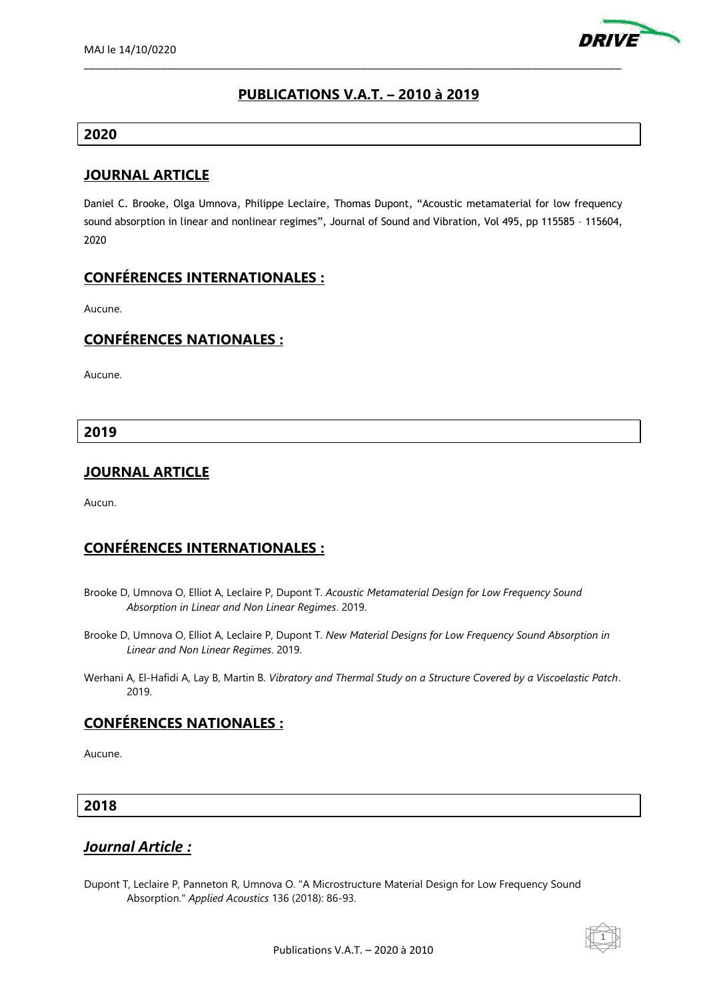

# **PUBLICATIONS V.A.T. – 2010 à 2019**

\_\_\_\_\_\_\_\_\_\_\_\_\_\_\_\_\_\_\_\_\_\_\_\_\_\_\_\_\_\_\_\_\_\_\_\_\_\_\_\_\_\_\_\_\_\_\_\_\_\_\_\_\_\_\_\_\_\_\_\_\_\_\_\_\_\_\_\_\_\_\_\_\_\_\_\_\_\_\_\_\_\_\_\_\_\_\_\_\_\_\_

#### **2020**

#### **JOURNAL ARTICLE**

Daniel C. Brooke, Olga Umnova, Philippe Leclaire, Thomas Dupont, "Acoustic metamaterial for low frequency sound absorption in linear and nonlinear regimes", Journal of Sound and Vibration, Vol 495, pp 115585 – 115604, 2020

# **CONFÉRENCES INTERNATIONALES :**

Aucune.

# **CONFÉRENCES NATIONALES :**

Aucune.

**2019**

# **JOURNAL ARTICLE**

Aucun.

# **CONFÉRENCES INTERNATIONALES :**

- Brooke D, Umnova O, Elliot A, Leclaire P, Dupont T. *Acoustic Metamaterial Design for Low Frequency Sound Absorption in Linear and Non Linear Regimes*. 2019.
- Brooke D, Umnova O, Elliot A, Leclaire P, Dupont T. *New Material Designs for Low Frequency Sound Absorption in Linear and Non Linear Regimes*. 2019.
- Werhani A, El-Hafidi A, Lay B, Martin B. *Vibratory and Thermal Study on a Structure Covered by a Viscoelastic Patch*. 2019.

### **CONFÉRENCES NATIONALES :**

Aucune.

### **2018**

### *Journal Article :*

Dupont T, Leclaire P, Panneton R, Umnova O. "A Microstructure Material Design for Low Frequency Sound Absorption." *Applied Acoustics* 136 (2018): 86-93.

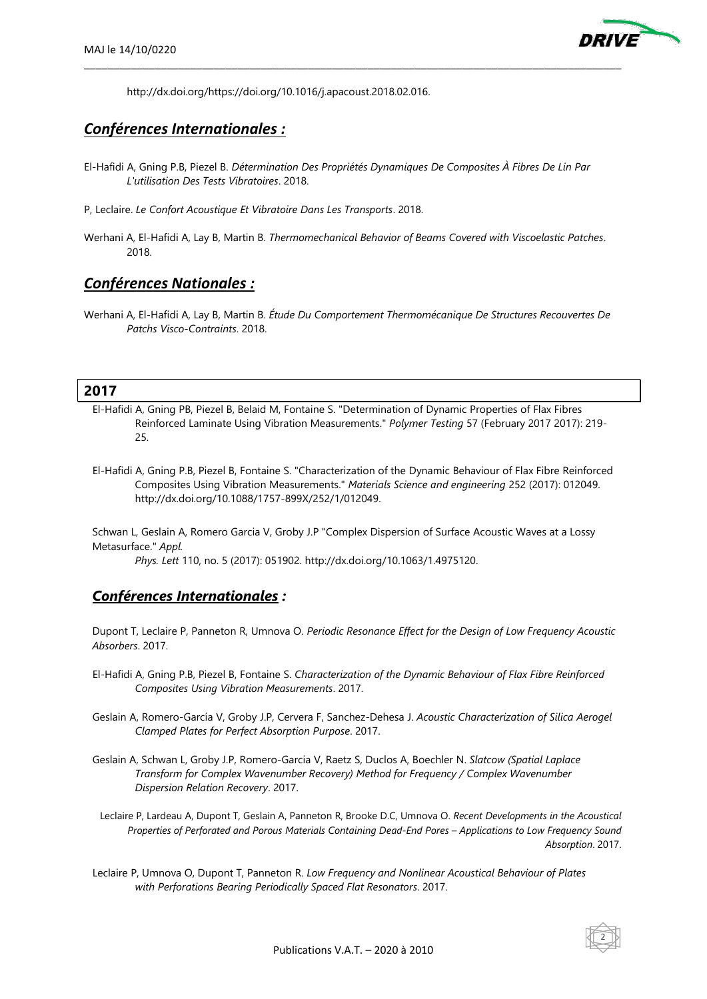

http://dx.doi.org/https://doi.org/10.1016/j.apacoust.2018.02.016.

# *Conférences Internationales :*

El-Hafidi A, Gning P.B, Piezel B. *Détermination Des Propriétés Dynamiques De Composites À Fibres De Lin Par L'utilisation Des Tests Vibratoires*. 2018.

\_\_\_\_\_\_\_\_\_\_\_\_\_\_\_\_\_\_\_\_\_\_\_\_\_\_\_\_\_\_\_\_\_\_\_\_\_\_\_\_\_\_\_\_\_\_\_\_\_\_\_\_\_\_\_\_\_\_\_\_\_\_\_\_\_\_\_\_\_\_\_\_\_\_\_\_\_\_\_\_\_\_\_\_\_\_\_\_\_\_\_

- P, Leclaire. *Le Confort Acoustique Et Vibratoire Dans Les Transports*. 2018.
- Werhani A, El-Hafidi A, Lay B, Martin B. *Thermomechanical Behavior of Beams Covered with Viscoelastic Patches*. 2018.

#### *Conférences Nationales :*

Werhani A, El-Hafidi A, Lay B, Martin B. *Étude Du Comportement Thermomécanique De Structures Recouvertes De Patchs Visco-Contraints*. 2018.

#### **2017**

- El-Hafidi A, Gning PB, Piezel B, Belaid M, Fontaine S. "Determination of Dynamic Properties of Flax Fibres Reinforced Laminate Using Vibration Measurements." *Polymer Testing* 57 (February 2017 2017): 219- 25.
- El-Hafidi A, Gning P.B, Piezel B, Fontaine S. "Characterization of the Dynamic Behaviour of Flax Fibre Reinforced Composites Using Vibration Measurements." *Materials Science and engineering* 252 (2017): 012049. http://dx.doi.org/10.1088/1757-899X/252/1/012049.

Schwan L, Geslain A, Romero Garcia V, Groby J.P "Complex Dispersion of Surface Acoustic Waves at a Lossy Metasurface." *Appl.*

*Phys. Lett* 110, no. 5 (2017): 051902. http://dx.doi.org/10.1063/1.4975120.

#### *Conférences Internationales :*

Dupont T, Leclaire P, Panneton R, Umnova O. *Periodic Resonance Effect for the Design of Low Frequency Acoustic Absorbers*. 2017.

- El-Hafidi A, Gning P.B, Piezel B, Fontaine S. *Characterization of the Dynamic Behaviour of Flax Fibre Reinforced Composites Using Vibration Measurements*. 2017.
- Geslain A, Romero-García V, Groby J.P, Cervera F, Sanchez-Dehesa J. *Acoustic Characterization of Silica Aerogel Clamped Plates for Perfect Absorption Purpose*. 2017.
- Geslain A, Schwan L, Groby J.P, Romero-Garcia V, Raetz S, Duclos A, Boechler N. *Slatcow (Spatial Laplace Transform for Complex Wavenumber Recovery) Method for Frequency / Complex Wavenumber Dispersion Relation Recovery*. 2017.
- Leclaire P, Lardeau A, Dupont T, Geslain A, Panneton R, Brooke D.C, Umnova O. *Recent Developments in the Acoustical Properties of Perforated and Porous Materials Containing Dead-End Pores – Applications to Low Frequency Sound Absorption*. 2017.
- Leclaire P, Umnova O, Dupont T, Panneton R. *Low Frequency and Nonlinear Acoustical Behaviour of Plates with Perforations Bearing Periodically Spaced Flat Resonators*. 2017.

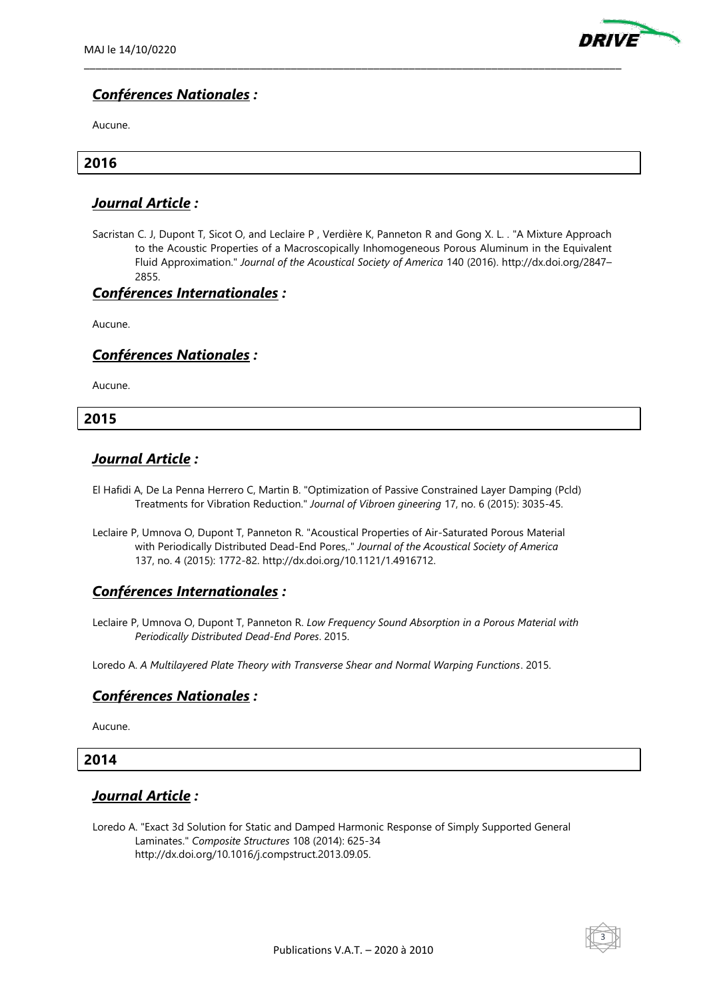

# *Conférences Nationales :*

Aucune.

#### **2016**

#### *Journal Article :*

Sacristan C. J, Dupont T, Sicot O, and Leclaire P , Verdière K, Panneton R and Gong X. L. . "A Mixture Approach to the Acoustic Properties of a Macroscopically Inhomogeneous Porous Aluminum in the Equivalent Fluid Approximation." *Journal of the Acoustical Society of America* 140 (2016). http://dx.doi.org/2847– 2855.

\_\_\_\_\_\_\_\_\_\_\_\_\_\_\_\_\_\_\_\_\_\_\_\_\_\_\_\_\_\_\_\_\_\_\_\_\_\_\_\_\_\_\_\_\_\_\_\_\_\_\_\_\_\_\_\_\_\_\_\_\_\_\_\_\_\_\_\_\_\_\_\_\_\_\_\_\_\_\_\_\_\_\_\_\_\_\_\_\_\_\_

#### *Conférences Internationales :*

Aucune.

#### *Conférences Nationales :*

Aucune.

#### **2015**

### *Journal Article :*

- El Hafidi A, De La Penna Herrero C, Martin B. "Optimization of Passive Constrained Layer Damping (Pcld) Treatments for Vibration Reduction." *Journal of Vibroen gineering* 17, no. 6 (2015): 3035-45.
- Leclaire P, Umnova O, Dupont T, Panneton R. "Acoustical Properties of Air-Saturated Porous Material with Periodically Distributed Dead-End Pores,." *Journal of the Acoustical Society of America* 137, no. 4 (2015): 1772-82. http://dx.doi.org/10.1121/1.4916712.

### *Conférences Internationales :*

Leclaire P, Umnova O, Dupont T, Panneton R. *Low Frequency Sound Absorption in a Porous Material with Periodically Distributed Dead-End Pores*. 2015.

Loredo A. *A Multilayered Plate Theory with Transverse Shear and Normal Warping Functions*. 2015.

### *Conférences Nationales :*

Aucune.

### **2014**

### *Journal Article :*

Loredo A. "Exact 3d Solution for Static and Damped Harmonic Response of Simply Supported General Laminates." *Composite Structures* 108 (2014): 625-34 http://dx.doi.org/10.1016/j.compstruct.2013.09.05.

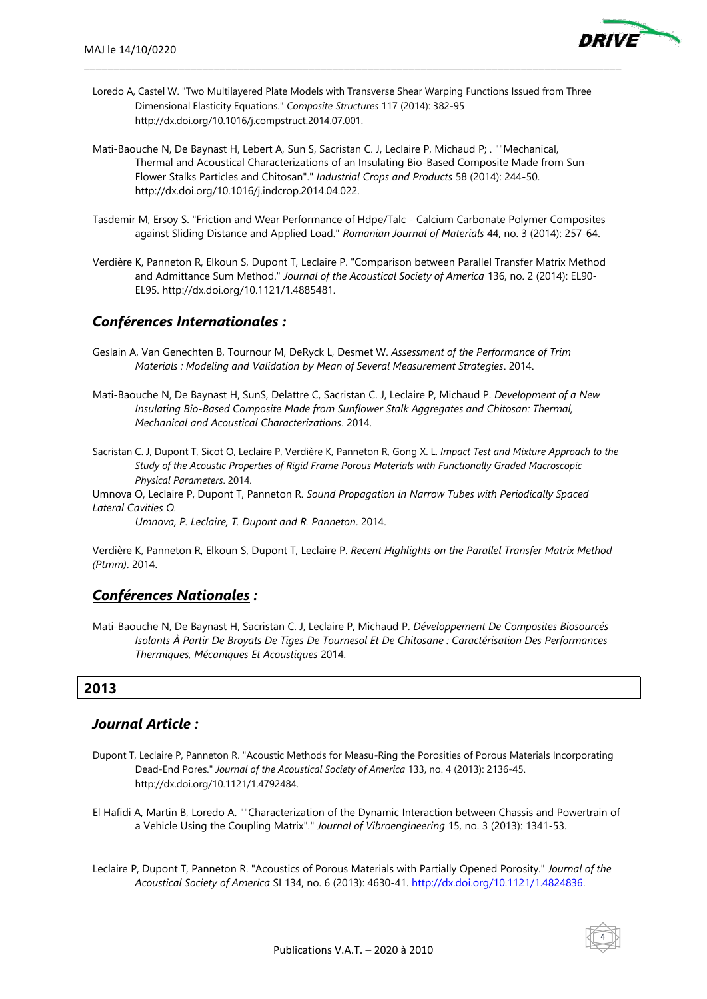

Loredo A, Castel W. "Two Multilayered Plate Models with Transverse Shear Warping Functions Issued from Three Dimensional Elasticity Equations." *Composite Structures* 117 (2014): 382-95 http://dx.doi.org/10.1016/j.compstruct.2014.07.001.

\_\_\_\_\_\_\_\_\_\_\_\_\_\_\_\_\_\_\_\_\_\_\_\_\_\_\_\_\_\_\_\_\_\_\_\_\_\_\_\_\_\_\_\_\_\_\_\_\_\_\_\_\_\_\_\_\_\_\_\_\_\_\_\_\_\_\_\_\_\_\_\_\_\_\_\_\_\_\_\_\_\_\_\_\_\_\_\_\_\_\_

- Mati-Baouche N, De Baynast H, Lebert A, Sun S, Sacristan C. J, Leclaire P, Michaud P; . ""Mechanical, Thermal and Acoustical Characterizations of an Insulating Bio-Based Composite Made from Sun-Flower Stalks Particles and Chitosan"." *Industrial Crops and Products* 58 (2014): 244-50. http://dx.doi.org/10.1016/j.indcrop.2014.04.022.
- Tasdemir M, Ersoy S. "Friction and Wear Performance of Hdpe/Talc Calcium Carbonate Polymer Composites against Sliding Distance and Applied Load." *Romanian Journal of Materials* 44, no. 3 (2014): 257-64.
- Verdière K, Panneton R, Elkoun S, Dupont T, Leclaire P. "Comparison between Parallel Transfer Matrix Method and Admittance Sum Method." *Journal of the Acoustical Society of America* 136, no. 2 (2014): EL90- EL95. http://dx.doi.org/10.1121/1.4885481.

### *Conférences Internationales :*

- Geslain A, Van Genechten B, Tournour M, DeRyck L, Desmet W. *Assessment of the Performance of Trim Materials : Modeling and Validation by Mean of Several Measurement Strategies*. 2014.
- Mati-Baouche N, De Baynast H, SunS, Delattre C, Sacristan C. J, Leclaire P, Michaud P. *Development of a New Insulating Bio-Based Composite Made from Sunflower Stalk Aggregates and Chitosan: Thermal, Mechanical and Acoustical Characterizations*. 2014.
- Sacristan C. J, Dupont T, Sicot O, Leclaire P, Verdière K, Panneton R, Gong X. L. *Impact Test and Mixture Approach to the Study of the Acoustic Properties of Rigid Frame Porous Materials with Functionally Graded Macroscopic Physical Parameters*. 2014.

Umnova O, Leclaire P, Dupont T, Panneton R. *Sound Propagation in Narrow Tubes with Periodically Spaced Lateral Cavities O.*

*Umnova, P. Leclaire, T. Dupont and R. Panneton*. 2014.

Verdière K, Panneton R, Elkoun S, Dupont T, Leclaire P. *Recent Highlights on the Parallel Transfer Matrix Method (Ptmm)*. 2014.

### *Conférences Nationales :*

Mati-Baouche N, De Baynast H, Sacristan C. J, Leclaire P, Michaud P. *Développement De Composites Biosourcés Isolants À Partir De Broyats De Tiges De Tournesol Et De Chitosane : Caractérisation Des Performances Thermiques, Mécaniques Et Acoustiques* 2014.

### **2013**

# *Journal Article :*

- Dupont T, Leclaire P, Panneton R. "Acoustic Methods for Measu-Ring the Porosities of Porous Materials Incorporating Dead-End Pores." *Journal of the Acoustical Society of America* 133, no. 4 (2013): 2136-45. http://dx.doi.org/10.1121/1.4792484.
- El Hafidi A, Martin B, Loredo A. ""Characterization of the Dynamic Interaction between Chassis and Powertrain of a Vehicle Using the Coupling Matrix"." *Journal of Vibroengineering* 15, no. 3 (2013): 1341-53.
- Leclaire P, Dupont T, Panneton R. "Acoustics of Porous Materials with Partially Opened Porosity." *Journal of the Acoustical Society of America* SI 134, no. 6 (2013): 4630-41. [http://dx.doi.org/10.1121/1.4824836.](http://dx.doi.org/10.1121/1.4824836)

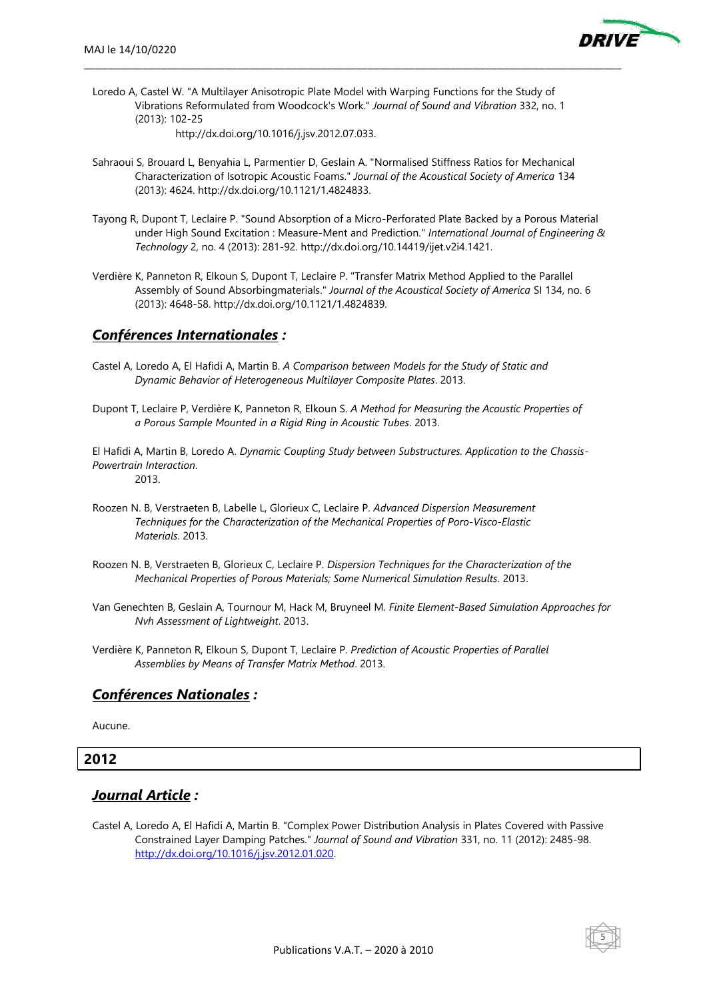

Loredo A, Castel W. "A Multilayer Anisotropic Plate Model with Warping Functions for the Study of Vibrations Reformulated from Woodcock's Work." *Journal of Sound and Vibration* 332, no. 1 (2013): 102-25

\_\_\_\_\_\_\_\_\_\_\_\_\_\_\_\_\_\_\_\_\_\_\_\_\_\_\_\_\_\_\_\_\_\_\_\_\_\_\_\_\_\_\_\_\_\_\_\_\_\_\_\_\_\_\_\_\_\_\_\_\_\_\_\_\_\_\_\_\_\_\_\_\_\_\_\_\_\_\_\_\_\_\_\_\_\_\_\_\_\_\_

http://dx.doi.org/10.1016/j.jsv.2012.07.033.

- Sahraoui S, Brouard L, Benyahia L, Parmentier D, Geslain A. "Normalised Stiffness Ratios for Mechanical Characterization of Isotropic Acoustic Foams." *Journal of the Acoustical Society of America* 134 (2013): 4624. http://dx.doi.org/10.1121/1.4824833.
- Tayong R, Dupont T, Leclaire P. "Sound Absorption of a Micro-Perforated Plate Backed by a Porous Material under High Sound Excitation : Measure-Ment and Prediction." *International Journal of Engineering & Technology* 2, no. 4 (2013): 281-92. http://dx.doi.org/10.14419/ijet.v2i4.1421.
- Verdière K, Panneton R, Elkoun S, Dupont T, Leclaire P. "Transfer Matrix Method Applied to the Parallel Assembly of Sound Absorbingmaterials." *Journal of the Acoustical Society of America* SI 134, no. 6 (2013): 4648-58. http://dx.doi.org/10.1121/1.4824839.

#### *Conférences Internationales :*

- Castel A, Loredo A, El Hafidi A, Martin B. *A Comparison between Models for the Study of Static and Dynamic Behavior of Heterogeneous Multilayer Composite Plates*. 2013.
- Dupont T, Leclaire P, Verdière K, Panneton R, Elkoun S. *A Method for Measuring the Acoustic Properties of a Porous Sample Mounted in a Rigid Ring in Acoustic Tubes*. 2013.
- El Hafidi A, Martin B, Loredo A. *Dynamic Coupling Study between Substructures. Application to the Chassis-Powertrain Interaction*. 2013.
- Roozen N. B, Verstraeten B, Labelle L, Glorieux C, Leclaire P. *Advanced Dispersion Measurement Techniques for the Characterization of the Mechanical Properties of Poro-Visco-Elastic Materials*. 2013.
- Roozen N. B, Verstraeten B, Glorieux C, Leclaire P. *Dispersion Techniques for the Characterization of the Mechanical Properties of Porous Materials; Some Numerical Simulation Results*. 2013.
- Van Genechten B, Geslain A, Tournour M, Hack M, Bruyneel M. *Finite Element-Based Simulation Approaches for Nvh Assessment of Lightweight*. 2013.
- Verdière K, Panneton R, Elkoun S, Dupont T, Leclaire P. *Prediction of Acoustic Properties of Parallel Assemblies by Means of Transfer Matrix Method*. 2013.

### *Conférences Nationales :*

Aucune.

#### **2012**

### *Journal Article :*

Castel A, Loredo A, El Hafidi A, Martin B. "Complex Power Distribution Analysis in Plates Covered with Passive Constrained Layer Damping Patches." *Journal of Sound and Vibration* 331, no. 11 (2012): 2485-98. [http://dx.doi.org/10.1016/j.jsv.2012.01.020.](http://dx.doi.org/10.1016/j.jsv.2012.01.020)

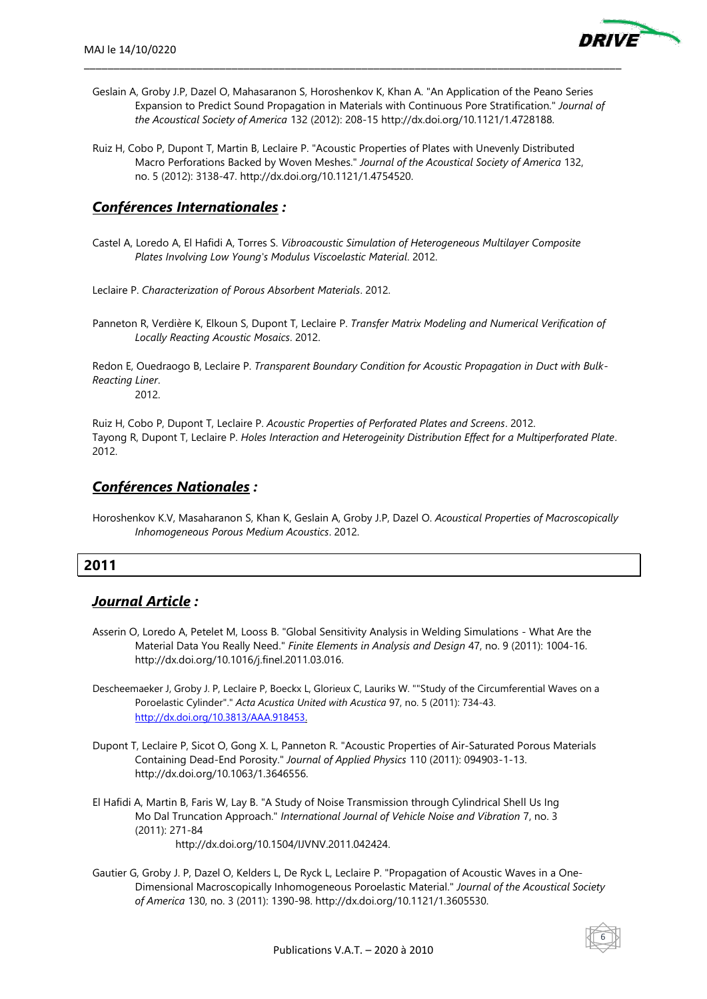

Geslain A, Groby J.P, Dazel O, Mahasaranon S, Horoshenkov K, Khan A. "An Application of the Peano Series Expansion to Predict Sound Propagation in Materials with Continuous Pore Stratification." *Journal of the Acoustical Society of America* 132 (2012): 208-15 http://dx.doi.org/10.1121/1.4728188.

\_\_\_\_\_\_\_\_\_\_\_\_\_\_\_\_\_\_\_\_\_\_\_\_\_\_\_\_\_\_\_\_\_\_\_\_\_\_\_\_\_\_\_\_\_\_\_\_\_\_\_\_\_\_\_\_\_\_\_\_\_\_\_\_\_\_\_\_\_\_\_\_\_\_\_\_\_\_\_\_\_\_\_\_\_\_\_\_\_\_\_

Ruiz H, Cobo P, Dupont T, Martin B, Leclaire P. "Acoustic Properties of Plates with Unevenly Distributed Macro Perforations Backed by Woven Meshes." *Journal of the Acoustical Society of America* 132, no. 5 (2012): 3138-47. http://dx.doi.org/10.1121/1.4754520.

# *Conférences Internationales :*

Castel A, Loredo A, El Hafidi A, Torres S. *Vibroacoustic Simulation of Heterogeneous Multilayer Composite Plates Involving Low Young's Modulus Viscoelastic Material*. 2012.

Leclaire P. *Characterization of Porous Absorbent Materials*. 2012.

Panneton R, Verdière K, Elkoun S, Dupont T, Leclaire P. *Transfer Matrix Modeling and Numerical Verification of Locally Reacting Acoustic Mosaics*. 2012.

Redon E, Ouedraogo B, Leclaire P. *Transparent Boundary Condition for Acoustic Propagation in Duct with Bulk-Reacting Liner*.

2012.

Ruiz H, Cobo P, Dupont T, Leclaire P. *Acoustic Properties of Perforated Plates and Screens*. 2012. Tayong R, Dupont T, Leclaire P. *Holes Interaction and Heterogeinity Distribution Effect for a Multiperforated Plate*. 2012.

# *Conférences Nationales :*

Horoshenkov K.V, Masaharanon S, Khan K, Geslain A, Groby J.P, Dazel O. *Acoustical Properties of Macroscopically Inhomogeneous Porous Medium Acoustics*. 2012.

### **2011**

# *Journal Article :*

- Asserin O, Loredo A, Petelet M, Looss B. "Global Sensitivity Analysis in Welding Simulations What Are the Material Data You Really Need." *Finite Elements in Analysis and Design* 47, no. 9 (2011): 1004-16. http://dx.doi.org/10.1016/j.finel.2011.03.016.
- Descheemaeker J, Groby J. P, Leclaire P, Boeckx L, Glorieux C, Lauriks W. ""Study of the Circumferential Waves on a Poroelastic Cylinder"." *Acta Acustica United with Acustica* 97, no. 5 (2011): 734-43. [http://dx.doi.org/10.3813/AAA.918453.](http://dx.doi.org/10.3813/AAA.918453)
- Dupont T, Leclaire P, Sicot O, Gong X. L, Panneton R. "Acoustic Properties of Air-Saturated Porous Materials Containing Dead-End Porosity." *Journal of Applied Physics* 110 (2011): 094903-1-13. http://dx.doi.org/10.1063/1.3646556.
- El Hafidi A, Martin B, Faris W, Lay B. "A Study of Noise Transmission through Cylindrical Shell Us Ing Mo Dal Truncation Approach." *International Journal of Vehicle Noise and Vibration* 7, no. 3 (2011): 271-84

http://dx.doi.org/10.1504/IJVNV.2011.042424.

Gautier G, Groby J. P, Dazel O, Kelders L, De Ryck L, Leclaire P. "Propagation of Acoustic Waves in a One-Dimensional Macroscopically Inhomogeneous Poroelastic Material." *Journal of the Acoustical Society of America* 130, no. 3 (2011): 1390-98. http://dx.doi.org/10.1121/1.3605530.

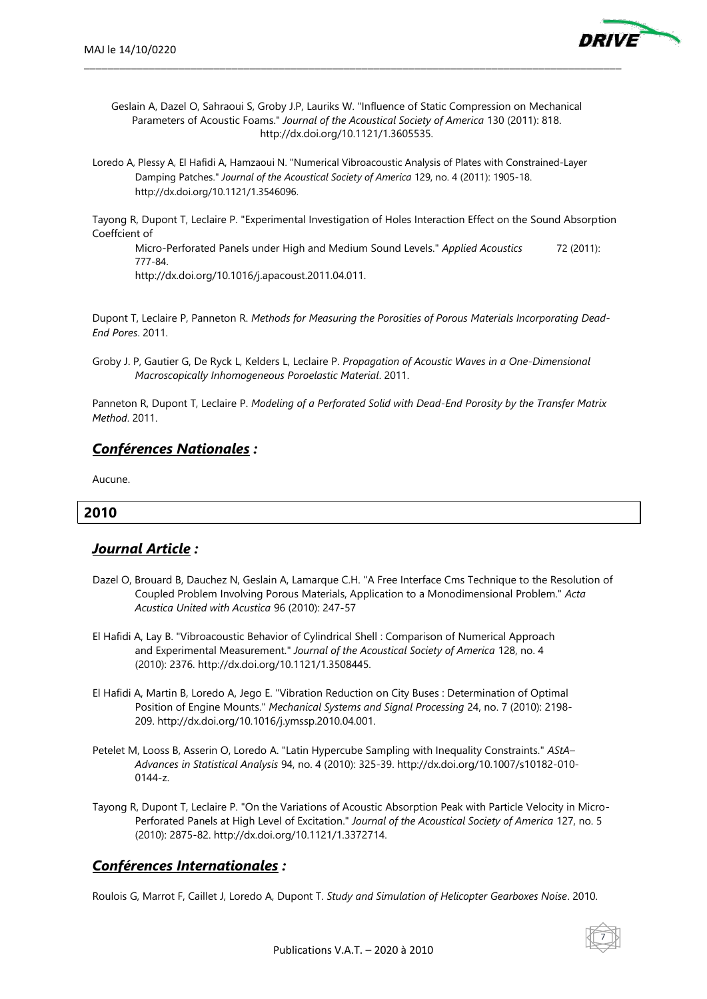

Geslain A, Dazel O, Sahraoui S, Groby J.P, Lauriks W. "Influence of Static Compression on Mechanical Parameters of Acoustic Foams." *Journal of the Acoustical Society of America* 130 (2011): 818. http://dx.doi.org/10.1121/1.3605535.

\_\_\_\_\_\_\_\_\_\_\_\_\_\_\_\_\_\_\_\_\_\_\_\_\_\_\_\_\_\_\_\_\_\_\_\_\_\_\_\_\_\_\_\_\_\_\_\_\_\_\_\_\_\_\_\_\_\_\_\_\_\_\_\_\_\_\_\_\_\_\_\_\_\_\_\_\_\_\_\_\_\_\_\_\_\_\_\_\_\_\_

Loredo A, Plessy A, El Hafidi A, Hamzaoui N. "Numerical Vibroacoustic Analysis of Plates with Constrained-Layer Damping Patches." *Journal of the Acoustical Society of America* 129, no. 4 (2011): 1905-18. http://dx.doi.org/10.1121/1.3546096.

Tayong R, Dupont T, Leclaire P. "Experimental Investigation of Holes Interaction Effect on the Sound Absorption Coeffcient of

Micro-Perforated Panels under High and Medium Sound Levels." *Applied Acoustics* 72 (2011): 777-84.

http://dx.doi.org/10.1016/j.apacoust.2011.04.011.

Dupont T, Leclaire P, Panneton R. *Methods for Measuring the Porosities of Porous Materials Incorporating Dead-End Pores*. 2011.

Groby J. P, Gautier G, De Ryck L, Kelders L, Leclaire P. *Propagation of Acoustic Waves in a One-Dimensional Macroscopically Inhomogeneous Poroelastic Material*. 2011.

Panneton R, Dupont T, Leclaire P. *Modeling of a Perforated Solid with Dead-End Porosity by the Transfer Matrix Method*. 2011.

#### *Conférences Nationales :*

Aucune.

#### **2010**

### *Journal Article :*

- Dazel O, Brouard B, Dauchez N, Geslain A, Lamarque C.H. "A Free Interface Cms Technique to the Resolution of Coupled Problem Involving Porous Materials, Application to a Monodimensional Problem." *Acta Acustica United with Acustica* 96 (2010): 247-57
- El Hafidi A, Lay B. "Vibroacoustic Behavior of Cylindrical Shell : Comparison of Numerical Approach and Experimental Measurement." *Journal of the Acoustical Society of America* 128, no. 4 (2010): 2376. http://dx.doi.org/10.1121/1.3508445.
- El Hafidi A, Martin B, Loredo A, Jego E. "Vibration Reduction on City Buses : Determination of Optimal Position of Engine Mounts." *Mechanical Systems and Signal Processing* 24, no. 7 (2010): 2198- 209. http://dx.doi.org/10.1016/j.ymssp.2010.04.001.
- Petelet M, Looss B, Asserin O, Loredo A. "Latin Hypercube Sampling with Inequality Constraints." *AStA– Advances in Statistical Analysis* 94, no. 4 (2010): 325-39. http://dx.doi.org/10.1007/s10182-010- 0144-z.
- Tayong R, Dupont T, Leclaire P. "On the Variations of Acoustic Absorption Peak with Particle Velocity in Micro-Perforated Panels at High Level of Excitation." *Journal of the Acoustical Society of America* 127, no. 5 (2010): 2875-82. http://dx.doi.org/10.1121/1.3372714.

### *Conférences Internationales :*

Roulois G, Marrot F, Caillet J, Loredo A, Dupont T. *Study and Simulation of Helicopter Gearboxes Noise*. 2010.